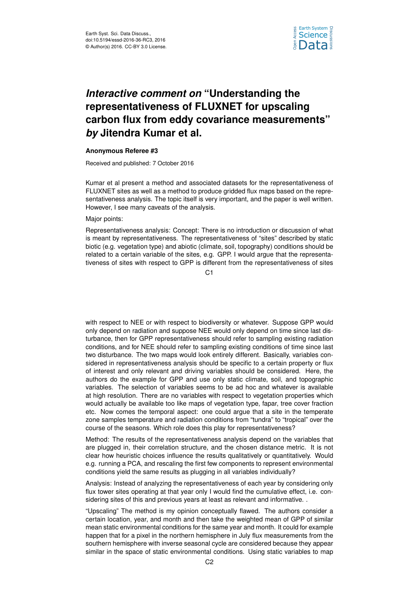

## *Interactive comment on* **"Understanding the representativeness of FLUXNET for upscaling carbon flux from eddy covariance measurements"** *by* **Jitendra Kumar et al.**

## **Anonymous Referee #3**

Received and published: 7 October 2016

Kumar et al present a method and associated datasets for the representativeness of FLUXNET sites as well as a method to produce gridded flux maps based on the representativeness analysis. The topic itself is very important, and the paper is well written. However, I see many caveats of the analysis.

## Major points:

Representativeness analysis: Concept: There is no introduction or discussion of what is meant by representativeness. The representativeness of "sites" described by static biotic (e.g. vegetation type) and abiotic (climate, soil, topography) conditions should be related to a certain variable of the sites, e.g. GPP. I would argue that the representativeness of sites with respect to GPP is different from the representativeness of sites

C1

with respect to NEE or with respect to biodiversity or whatever. Suppose GPP would only depend on radiation and suppose NEE would only depend on time since last disturbance, then for GPP representativeness should refer to sampling existing radiation conditions, and for NEE should refer to sampling existing conditions of time since last two disturbance. The two maps would look entirely different. Basically, variables considered in representativeness analysis should be specific to a certain property or flux of interest and only relevant and driving variables should be considered. Here, the authors do the example for GPP and use only static climate, soil, and topographic variables. The selection of variables seems to be ad hoc and whatever is available at high resolution. There are no variables with respect to vegetation properties which would actually be available too like maps of vegetation type, fapar, tree cover fraction etc. Now comes the temporal aspect: one could argue that a site in the temperate zone samples temperature and radiation conditions from "tundra" to "tropical" over the course of the seasons. Which role does this play for representativeness?

Method: The results of the representativeness analysis depend on the variables that are plugged in, their correlation structure, and the chosen distance metric. It is not clear how heuristic choices influence the results qualitatively or quantitatively. Would e.g. running a PCA, and rescaling the first few components to represent environmental conditions yield the same results as plugging in all variables individually?

Analysis: Instead of analyzing the representativeness of each year by considering only flux tower sites operating at that year only I would find the cumulative effect, i.e. considering sites of this and previous years at least as relevant and informative.

"Upscaling" The method is my opinion conceptually flawed. The authors consider a certain location, year, and month and then take the weighted mean of GPP of similar mean static environmental conditions for the same year and month. It could for example happen that for a pixel in the northern hemisphere in July flux measurements from the southern hemisphere with inverse seasonal cycle are considered because they appear similar in the space of static environmental conditions. Using static variables to map